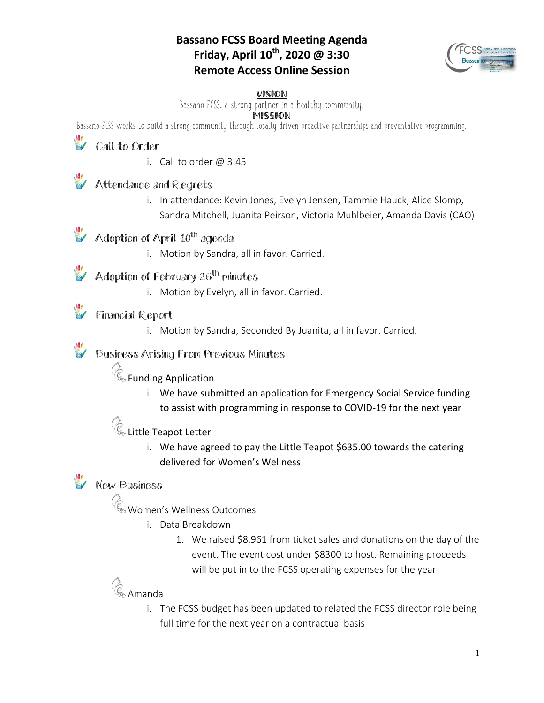#### **Bassano FCSS Board Meeting Agenda Friday, April 10th, 2020 @ 3:30 Remote Access Online Session**



#### VISION

Bassano FCSS, a strong partner in a healthy community.

#### **MISSION**

Bassano FCSS works to build a strong community through locally driven proactive partnerships and preventative programming.

# Call to Order

i. Call to order  $@3:45$ 

### Attendance and Regrets

i. In attendance: Kevin Jones, Evelyn Jensen, Tammie Hauck, Alice Slomp, Sandra Mitchell, Juanita Peirson, Victoria Muhlbeier, Amanda Davis (CAO)

### Adoption of April 10<sup>th</sup> agenda

i. Motion by Sandra, all in favor. Carried.

### Adoption of February 26<sup>th</sup> minutes

i. Motion by Evelyn, all in favor. Carried.

#### Financial Report

i. Motion by Sandra, Seconded By Juanita, all in favor. Carried.

#### Business Arising From Previous Minutes

# $\mathscr{C}_{\mathbb{S}}$  Funding Application

i. We have submitted an application for Emergency Social Service funding to assist with programming in response to COVID-19 for the next year

### Little Teapot Letter

i. We have agreed to pay the Little Teapot \$635.00 towards the catering delivered for Women's Wellness

## **W** New Business

- Women's Wellness Outcomes
	- i. Data Breakdown
		- 1. We raised \$8,961 from ticket sales and donations on the day of the event. The event cost under \$8300 to host. Remaining proceeds will be put in to the FCSS operating expenses for the year

# **Co** Amanda

i. The FCSS budget has been updated to related the FCSS director role being full time for the next year on a contractual basis